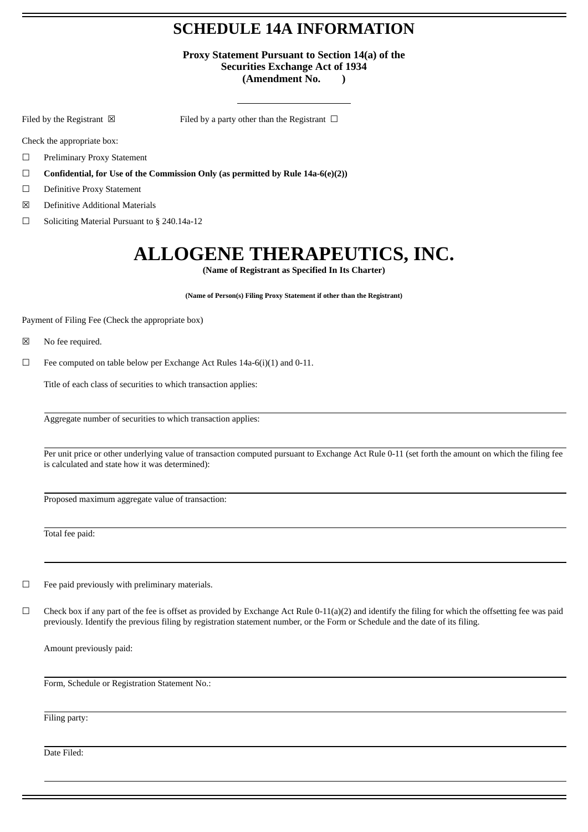### **SCHEDULE 14A INFORMATION**

**Proxy Statement Pursuant to Section 14(a) of the Securities Exchange Act of 1934 (Amendment No. )**

Filed by the Registrant  $\boxtimes$  Filed by a party other than the Registrant  $\Box$ 

Check the appropriate box:

☐ Preliminary Proxy Statement

☐ **Confidential, for Use of the Commission Only (as permitted by Rule 14a-6(e)(2))**

☐ Definitive Proxy Statement

- ☒ Definitive Additional Materials
- ☐ Soliciting Material Pursuant to § 240.14a-12

## **ALLOGENE THERAPEUTICS, INC.**

**(Name of Registrant as Specified In Its Charter)**

**(Name of Person(s) Filing Proxy Statement if other than the Registrant)**

Payment of Filing Fee (Check the appropriate box)

☒ No fee required.

 $\Box$  Fee computed on table below per Exchange Act Rules 14a-6(i)(1) and 0-11.

Title of each class of securities to which transaction applies:

Aggregate number of securities to which transaction applies:

Per unit price or other underlying value of transaction computed pursuant to Exchange Act Rule 0-11 (set forth the amount on which the filing fee is calculated and state how it was determined):

Proposed maximum aggregate value of transaction:

Total fee paid:

 $\Box$  Fee paid previously with preliminary materials.

 $\Box$  Check box if any part of the fee is offset as provided by Exchange Act Rule 0-11(a)(2) and identify the filing for which the offsetting fee was paid previously. Identify the previous filing by registration statement number, or the Form or Schedule and the date of its filing.

Amount previously paid:

Form, Schedule or Registration Statement No.:

Filing party:

Date Filed: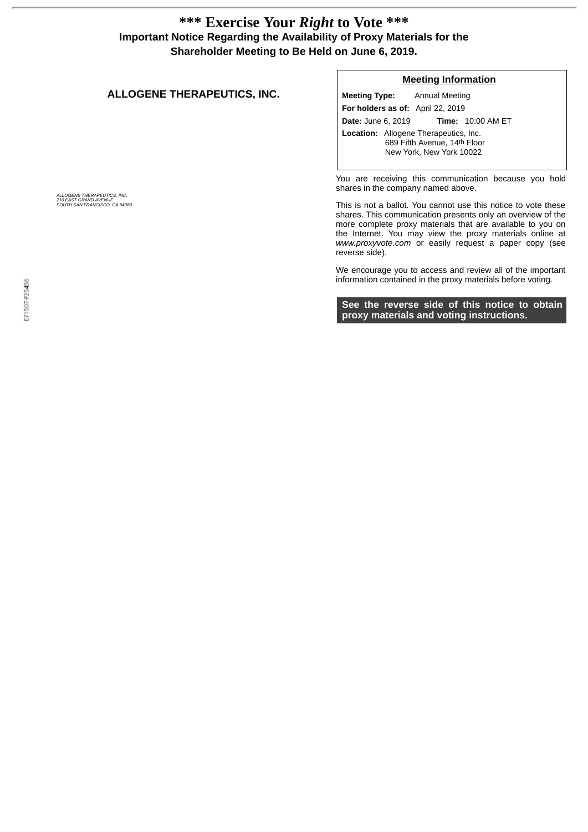### **\*\*\* Exercise Your** *Right* **to Vote \*\*\* Important Notice Regarding the Availability of Proxy Materials for the Shareholder Meeting to Be Held on June 6, 2019.**

#### **ALLOGENE THERAPEUTICS, INC.**

#### **Meeting Information**

**Meeting Type:** Annual Meeting **For holders as of:** April 22, 2019 **Date:** June 6, 2019 **Time:** 10:00 AM ET **Location:** Allogene Therapeutics, Inc. 689 Fifth Avenue, 14th Floor New York, New York 10022

You are receiving this communication because you hold shares in the company named above.

This is not a ballot. You cannot use this notice to vote these shares. This communication presents only an overview of the more complete proxy materials that are available to you on the Internet. You may view the proxy materials online at *www.proxyvote.com* or easily request a paper copy (see reverse side).

We encourage you to access and review all of the important information contained in the proxy materials before voting.

**See the reverse side of this notice to obtain proxy materials and voting instructions.**

*ALLOGENE THERAPEUTICS, INC. 210 EAST GRAND AVENUE SOUTH SAN FRANCISCO, CA 94080*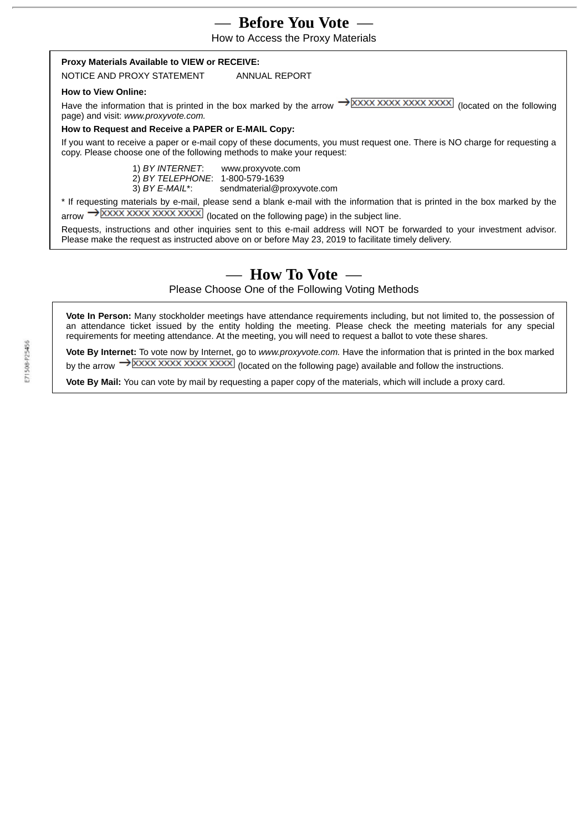### — **Before You Vote** —

How to Access the Proxy Materials

#### **Proxy Materials Available to VIEW or RECEIVE:**

NOTICE AND PROXY STATEMENT ANNUAL REPORT

### **How to View Online:**

Have the information that is printed in the box marked by the arrow  $\rightarrow$  XXXX XXXX XXXX XXXX (located on the following page) and visit: *www.proxyvote.com.*

#### **How to Request and Receive a PAPER or E-MAIL Copy:**

If you want to receive a paper or e-mail copy of these documents, you must request one. There is NO charge for requesting a copy. Please choose one of the following methods to make your request:

> 1) *BY INTERNET*: www.proxyvote.com 2) *BY TELEPHONE*: 1-800-579-1639 3) *BY E-MAIL*\*: sendmaterial@proxyvote.com

\* If requesting materials by e-mail, please send a blank e-mail with the information that is printed in the box marked by the  $\alpha$ arrow  $\rightarrow$  XXXX XXXX XXXX XXXXX (located on the following page) in the subject line.

Requests, instructions and other inquiries sent to this e-mail address will NOT be forwarded to your investment advisor. Please make the request as instructed above on or before May 23, 2019 to facilitate timely delivery.

### — **How To Vote** —

Please Choose One of the Following Voting Methods

**Vote In Person:** Many stockholder meetings have attendance requirements including, but not limited to, the possession of an attendance ticket issued by the entity holding the meeting. Please check the meeting materials for any special requirements for meeting attendance. At the meeting, you will need to request a ballot to vote these shares.

**Vote By Internet:** To vote now by Internet, go to *www.proxyvote.com.* Have the information that is printed in the box marked by the arrow  $\rightarrow$  XXXX XXXX XXXX XXXX (located on the following page) available and follow the instructions.

**Vote By Mail:** You can vote by mail by requesting a paper copy of the materials, which will include a proxy card.